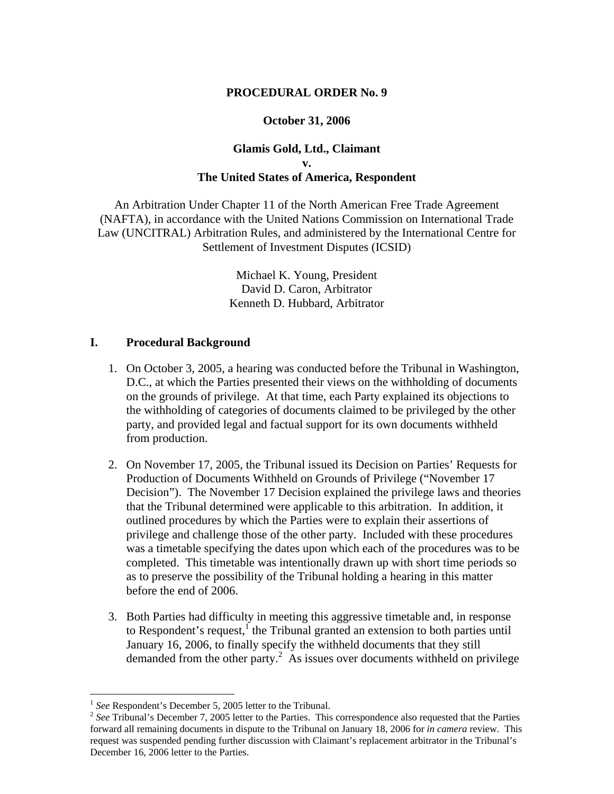### **PROCEDURAL ORDER No. 9**

#### **October 31, 2006**

# **Glamis Gold, Ltd., Claimant v. The United States of America, Respondent**

An Arbitration Under Chapter 11 of the North American Free Trade Agreement (NAFTA), in accordance with the United Nations Commission on International Trade Law (UNCITRAL) Arbitration Rules, and administered by the International Centre for Settlement of Investment Disputes (ICSID)

> Michael K. Young, President David D. Caron, Arbitrator Kenneth D. Hubbard, Arbitrator

## **I. Procedural Background**

- 1. On October 3, 2005, a hearing was conducted before the Tribunal in Washington, D.C., at which the Parties presented their views on the withholding of documents on the grounds of privilege. At that time, each Party explained its objections to the withholding of categories of documents claimed to be privileged by the other party, and provided legal and factual support for its own documents withheld from production.
- 2. On November 17, 2005, the Tribunal issued its Decision on Parties' Requests for Production of Documents Withheld on Grounds of Privilege ("November 17 Decision"). The November 17 Decision explained the privilege laws and theories that the Tribunal determined were applicable to this arbitration. In addition, it outlined procedures by which the Parties were to explain their assertions of privilege and challenge those of the other party. Included with these procedures was a timetable specifying the dates upon which each of the procedures was to be completed. This timetable was intentionally drawn up with short time periods so as to preserve the possibility of the Tribunal holding a hearing in this matter before the end of 2006.
- 3. Both Parties had difficulty in meeting this aggressive timetable and, in response to Respondent's request,<sup> $1$ </sup> the Tribunal granted an extension to both parties until January 16, 2006, to finally specify the withheld documents that they still demanded from the other party. $\frac{2}{3}$  As issues over documents withheld on privilege

 $1$  See Respondent's December 5, 2005 letter to the Tribunal.

<sup>&</sup>lt;sup>2</sup> See Tribunal's December 7, 2005 letter to the Parties. This correspondence also requested that the Parties forward all remaining documents in dispute to the Tribunal on January 18, 2006 for *in camera* review. This request was suspended pending further discussion with Claimant's replacement arbitrator in the Tribunal's December 16, 2006 letter to the Parties.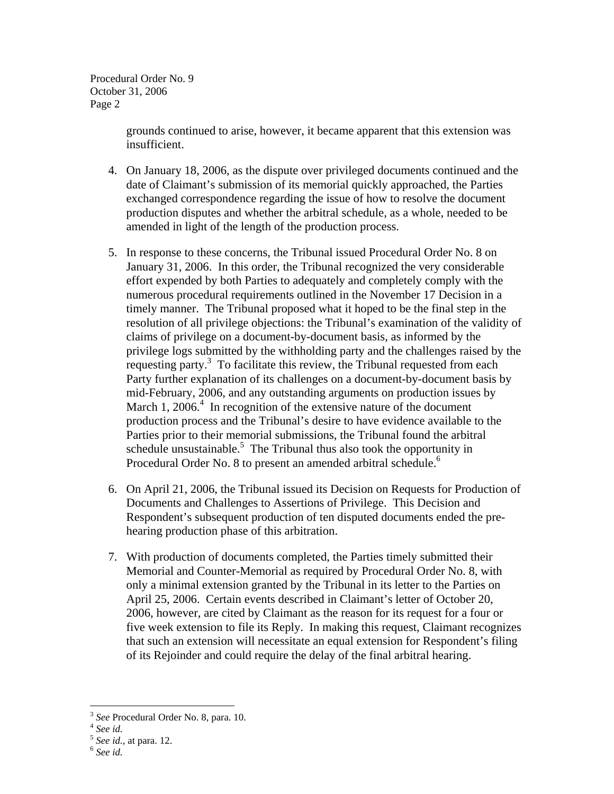Procedural Order No. 9 October 31, 2006 Page 2

> grounds continued to arise, however, it became apparent that this extension was insufficient.

- 4. On January 18, 2006, as the dispute over privileged documents continued and the date of Claimant's submission of its memorial quickly approached, the Parties exchanged correspondence regarding the issue of how to resolve the document production disputes and whether the arbitral schedule, as a whole, needed to be amended in light of the length of the production process.
- 5. In response to these concerns, the Tribunal issued Procedural Order No. 8 on January 31, 2006. In this order, the Tribunal recognized the very considerable effort expended by both Parties to adequately and completely comply with the numerous procedural requirements outlined in the November 17 Decision in a timely manner. The Tribunal proposed what it hoped to be the final step in the resolution of all privilege objections: the Tribunal's examination of the validity of claims of privilege on a document-by-document basis, as informed by the privilege logs submitted by the withholding party and the challenges raised by the requesting party.<sup>3</sup> To facilitate this review, the Tribunal requested from each Party further explanation of its challenges on a document-by-document basis by mid-February, 2006, and any outstanding arguments on production issues by March 1, 2006. $4$  In recognition of the extensive nature of the document production process and the Tribunal's desire to have evidence available to the Parties prior to their memorial submissions, the Tribunal found the arbitral schedule unsustainable.<sup>5</sup> The Tribunal thus also took the opportunity in Procedural Order No. 8 to present an amended arbitral schedule.<sup>6</sup>
- 6. On April 21, 2006, the Tribunal issued its Decision on Requests for Production of Documents and Challenges to Assertions of Privilege. This Decision and Respondent's subsequent production of ten disputed documents ended the prehearing production phase of this arbitration.
- 7. With production of documents completed, the Parties timely submitted their Memorial and Counter-Memorial as required by Procedural Order No. 8, with only a minimal extension granted by the Tribunal in its letter to the Parties on April 25, 2006. Certain events described in Claimant's letter of October 20, 2006, however, are cited by Claimant as the reason for its request for a four or five week extension to file its Reply. In making this request, Claimant recognizes that such an extension will necessitate an equal extension for Respondent's filing of its Rejoinder and could require the delay of the final arbitral hearing.

1

<sup>3</sup> *See* Procedural Order No. 8, para. 10. 4 *See id.*

<sup>5</sup> *See id.,* at para. 12. 6 *See id.*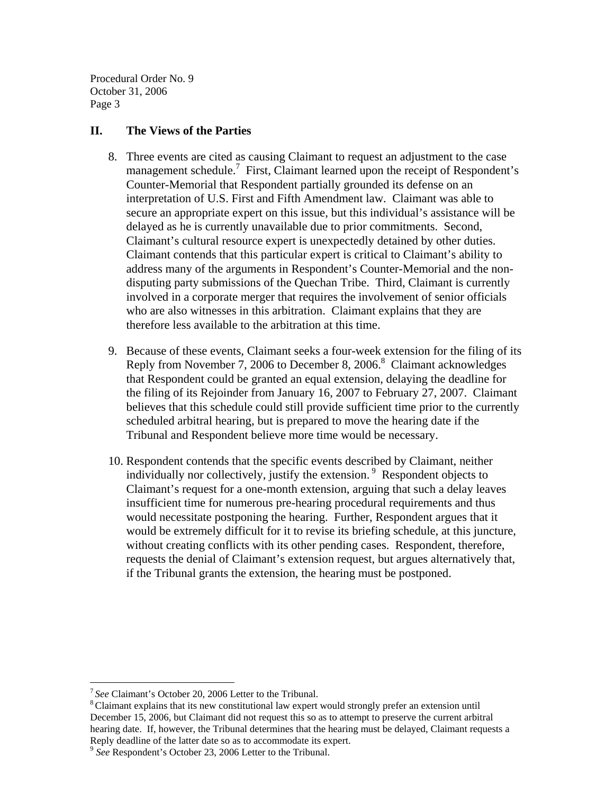Procedural Order No. 9 October 31, 2006 Page 3

## **II. The Views of the Parties**

- 8. Three events are cited as causing Claimant to request an adjustment to the case management schedule.<sup>7</sup> First, Claimant learned upon the receipt of Respondent's Counter-Memorial that Respondent partially grounded its defense on an interpretation of U.S. First and Fifth Amendment law. Claimant was able to secure an appropriate expert on this issue, but this individual's assistance will be delayed as he is currently unavailable due to prior commitments. Second, Claimant's cultural resource expert is unexpectedly detained by other duties. Claimant contends that this particular expert is critical to Claimant's ability to address many of the arguments in Respondent's Counter-Memorial and the nondisputing party submissions of the Quechan Tribe. Third, Claimant is currently involved in a corporate merger that requires the involvement of senior officials who are also witnesses in this arbitration. Claimant explains that they are therefore less available to the arbitration at this time.
- 9. Because of these events, Claimant seeks a four-week extension for the filing of its Reply from November 7, 2006 to December 8, 2006.<sup>8</sup> Claimant acknowledges that Respondent could be granted an equal extension, delaying the deadline for the filing of its Rejoinder from January 16, 2007 to February 27, 2007. Claimant believes that this schedule could still provide sufficient time prior to the currently scheduled arbitral hearing, but is prepared to move the hearing date if the Tribunal and Respondent believe more time would be necessary.
- 10. Respondent contends that the specific events described by Claimant, neither individually nor collectively, justify the extension.<sup>9</sup> Respondent objects to Claimant's request for a one-month extension, arguing that such a delay leaves insufficient time for numerous pre-hearing procedural requirements and thus would necessitate postponing the hearing. Further, Respondent argues that it would be extremely difficult for it to revise its briefing schedule, at this juncture, without creating conflicts with its other pending cases. Respondent, therefore, requests the denial of Claimant's extension request, but argues alternatively that, if the Tribunal grants the extension, the hearing must be postponed.

1

<sup>&</sup>lt;sup>7</sup> See Claimant's October 20, 2006 Letter to the Tribunal.<br><sup>8</sup> Claimant explains that its new constitutional law expert would strongly prefer an extension until December 15, 2006, but Claimant did not request this so as to attempt to preserve the current arbitral hearing date. If, however, the Tribunal determines that the hearing must be delayed, Claimant requests a Reply deadline of the latter date so as to accommodate its expert.

<sup>9</sup> *See* Respondent's October 23, 2006 Letter to the Tribunal.